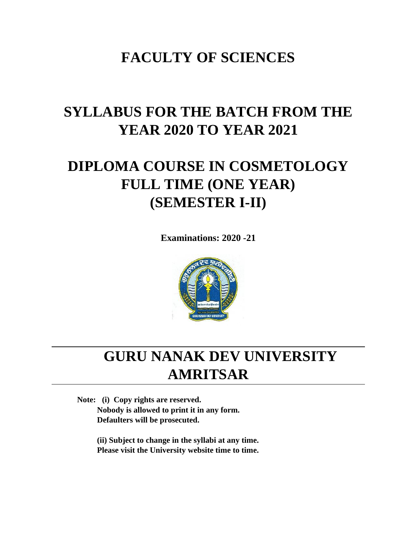# **FACULTY OF SCIENCES**

# **SYLLABUS FOR THE BATCH FROM THE YEAR 2020 TO YEAR 2021**

# **DIPLOMA COURSE IN COSMETOLOGY FULL TIME (ONE YEAR) (SEMESTER I-II)**

**Examinations: 2020 -21**



# **GURU NANAK DEV UNIVERSITY AMRITSAR**

**Note: (i) Copy rights are reserved. Nobody is allowed to print it in any form. Defaulters will be prosecuted.**

> **(ii) Subject to change in the syllabi at any time. Please visit the University website time to time.**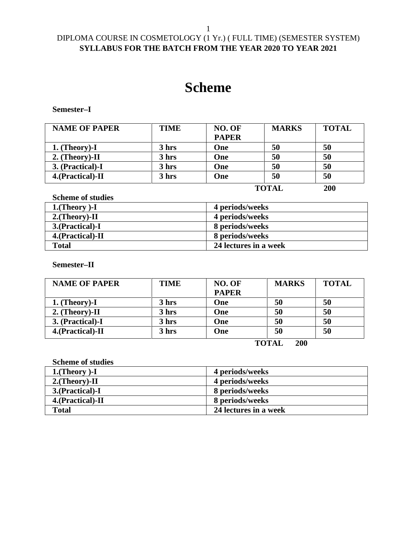# DIPLOMA COURSE IN COSMETOLOGY (1 Yr.) ( FULL TIME) (SEMESTER SYSTEM) **SYLLABUS FOR THE BATCH FROM THE YEAR 2020 TO YEAR 2021**

# **Scheme**

**Semester–I**

| <b>NAME OF PAPER</b> | <b>TIME</b> | NO. OF       | <b>MARKS</b> | <b>TOTAL</b> |
|----------------------|-------------|--------------|--------------|--------------|
|                      |             | <b>PAPER</b> |              |              |
| $1.$ (Theory)-I      | 3 hrs       | One          | 50           | 50           |
| $2.$ (Theory)-II     | 3 hrs       | One          | 50           | 50           |
| 3. (Practical)-I     | 3 hrs       | One          | 50           | 50           |
| 4. (Practical)-II    | 3 hrs       | One          | 50           | 50           |
|                      |             |              |              | - - -        |

**TOTAL 200**

**Scheme of studies**

| $1.$ (Theory)-I   | 4 periods/weeks       |
|-------------------|-----------------------|
| $2.$ (Theory)-II  | 4 periods/weeks       |
| 3. (Practical)-I  | 8 periods/weeks       |
| 4. (Practical)-II | 8 periods/weeks       |
| <b>Total</b>      | 24 lectures in a week |

**Semester–II**

| <b>NAME OF PAPER</b> | <b>TIME</b> | NO. OF       | <b>MARKS</b> | <b>TOTAL</b> |
|----------------------|-------------|--------------|--------------|--------------|
|                      |             | <b>PAPER</b> |              |              |
| $1.$ (Theory)-I      | 3 hrs       | One          | 50           | 50           |
| 2. (Theory)-II       | 3 hrs       | One          | 50           | 50           |
| 3. (Practical)-I     | 3 hrs       | One          | 50           | 50           |
| 4. (Practical)-II    | 3 hrs       | One          | 50           | 50           |
|                      |             |              |              |              |

**TOTAL 200**

**Scheme of studies**

| $1.$ (Theory)-I   | 4 periods/weeks       |
|-------------------|-----------------------|
| $2.$ (Theory)-II  | 4 periods/weeks       |
| 3.(Practical)-I   | 8 periods/weeks       |
| 4. (Practical)-II | 8 periods/weeks       |
| Total             | 24 lectures in a week |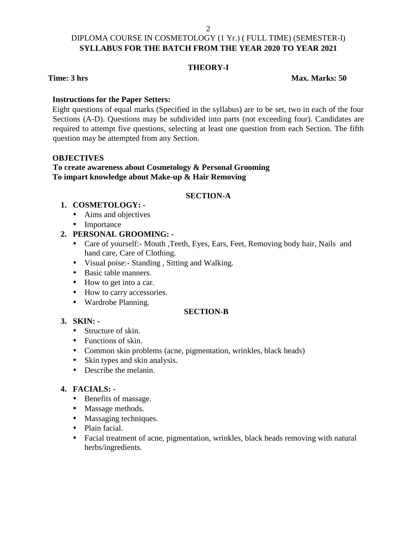#### **THEORY-I**

**Time: 3 hrs Max. Marks: 50** 

#### **Instructions for the Paper Setters:**

Eight questions of equal marks (Specified in the syllabus) are to be set, two in each of the four Sections (A-D). Questions may be subdivided into parts (not exceeding four). Candidates are required to attempt five questions, selecting at least one question from each Section. The fifth question may be attempted from any Section.

#### **OBJECTIVES**

### **To create awareness about Cosmetology & Personal Grooming To impart knowledge about Make-up & Hair Removing**

#### **SECTION-A**

#### **1. COSMETOLOGY: -**

- Aims and objectives
- Importance

# **2. PERSONAL GROOMING: -**

- Care of yourself: Mouth ,Teeth, Eyes, Ears, Feet, Removing body hair, Nails and hand care, Care of Clothing.
- Visual poise:- Standing , Sitting and Walking.
- Basic table manners.
- How to get into a car.
- How to carry accessories.
- Wardrobe Planning.

#### **SECTION-B**

# **3. SKIN: -**

- Structure of skin.
- Functions of skin.
- Common skin problems (acne, pigmentation, wrinkles, black heads)
- Skin types and skin analysis.
- Describe the melanin.

# **4. FACIALS: -**

- Benefits of massage.
- Massage methods.
- Massaging techniques.
- Plain facial.
- Facial treatment of acne, pigmentation, wrinkles, black heads removing with natural herbs/ingredients.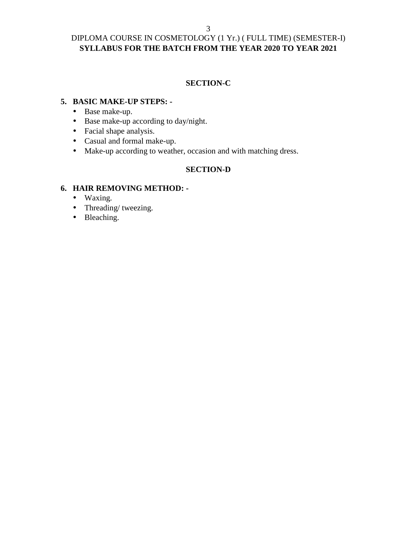# DIPLOMA COURSE IN COSMETOLOGY (1 Yr.) ( FULL TIME) (SEMESTER-I) **SYLLABUS FOR THE BATCH FROM THE YEAR 2020 TO YEAR 2021**

## **SECTION-C**

#### **5. BASIC MAKE-UP STEPS: -**

- Base make-up.
- Base make-up according to day/night.
- Facial shape analysis.
- Casual and formal make-up.
- Make-up according to weather, occasion and with matching dress.

### **SECTION-D**

#### **6. HAIR REMOVING METHOD: -**

- Waxing.
- Threading/ tweezing.
- Bleaching.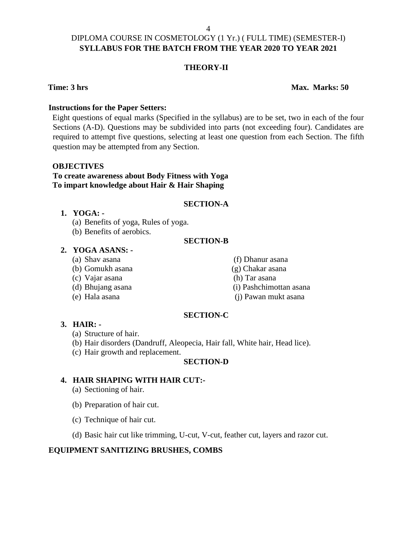#### **THEORY-II**

#### **Time: 3 hrs Max. Marks: 50**

#### **Instructions for the Paper Setters:**

Eight questions of equal marks (Specified in the syllabus) are to be set, two in each of the four Sections (A-D). Questions may be subdivided into parts (not exceeding four). Candidates are required to attempt five questions, selecting at least one question from each Section. The fifth question may be attempted from any Section.

#### **OBJECTIVES**

### **To create awareness about Body Fitness with Yoga To impart knowledge about Hair & Hair Shaping**

#### **SECTION-A**

#### **1. YOGA: -**

- (a) Benefits of yoga, Rules of yoga.
- (b) Benefits of aerobics.

#### **SECTION-B**

#### **2. YOGA ASANS: -**

- (a) Shav asana (f) Dhanur asana
- (b) Gomukh asana (g) Chakar asana
- (c) Vajar asana (h) Tar asana
- 
- 
- 
- 
- (d) Bhujang asana (i) Pashchimottan asana
- (e) Hala asana (j) Pawan mukt asana

#### **SECTION-C**

#### **3. HAIR: -**

- (a) Structure of hair.
- (b) Hair disorders (Dandruff, Aleopecia, Hair fall, White hair, Head lice).
- (c) Hair growth and replacement.

#### **SECTION-D**

#### **4. HAIR SHAPING WITH HAIR CUT:-**

- (a) Sectioning of hair.
- (b) Preparation of hair cut.
- (c) Technique of hair cut.
- (d) Basic hair cut like trimming, U-cut, V-cut, feather cut, layers and razor cut.

# **EQUIPMENT SANITIZING BRUSHES, COMBS**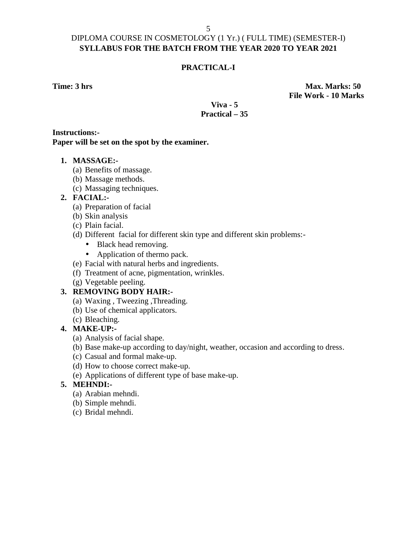## **PRACTICAL-I**

**Time: 3 hrs Max. Marks: 50 File Work - 10 Marks**

### **Viva - 5 Practical – 35**

#### **Instructions:- Paper will be set on the spot by the examiner.**

#### **1. MASSAGE:-**

- (a) Benefits of massage.
- (b) Massage methods.
- (c) Massaging techniques.

#### **2. FACIAL:-**

- (a) Preparation of facial
- (b) Skin analysis
- (c) Plain facial.
- (d) Different facial for different skin type and different skin problems:-
	- Black head removing.
	- Application of thermo pack.
- (e) Facial with natural herbs and ingredients.
- (f) Treatment of acne, pigmentation, wrinkles.
- (g) Vegetable peeling.

### **3. REMOVING BODY HAIR:-**

- (a) Waxing , Tweezing ,Threading.
- (b) Use of chemical applicators.
- (c) Bleaching.

#### **4. MAKE-UP:-**

- (a) Analysis of facial shape.
- (b) Base make-up according to day/night, weather, occasion and according to dress.
- (c) Casual and formal make-up.
- (d) How to choose correct make-up.
- (e) Applications of different type of base make-up.

#### **5. MEHNDI:-**

- (a) Arabian mehndi.
- (b) Simple mehndi.
- (c) Bridal mehndi.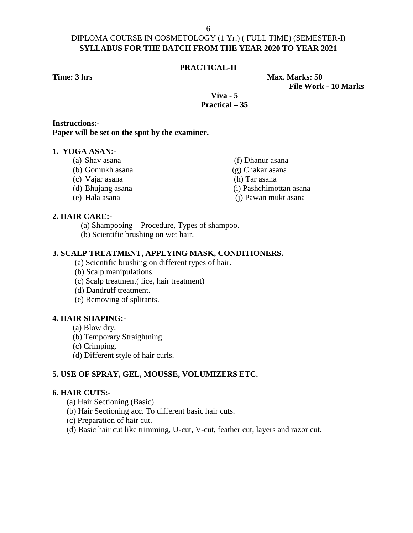#### **PRACTICAL-II**

**Time: 3 hrs Max. Marks: 50 File Work - 10 Marks**

#### **Viva - 5 Practical – 35**

#### **Instructions:- Paper will be set on the spot by the examiner.**

#### **1. YOGA ASAN:-**

- (a) Shav asana (f) Dhanur asana
- (b) Gomukh asana (g) Chakar asana
- 
- (d) Bhujang asana (i) Pashchimottan asana
- (e) Hala asana (j) Pawan mukt asana

#### **2. HAIR CARE:-**

(a) Shampooing – Procedure, Types of shampoo.

(b) Scientific brushing on wet hair.

#### **3. SCALP TREATMENT, APPLYING MASK, CONDITIONERS.**

- (a) Scientific brushing on different types of hair.
- (b) Scalp manipulations.
- (c) Scalp treatment( lice, hair treatment)
- (d) Dandruff treatment.
- (e) Removing of splitants.

#### **4. HAIR SHAPING:-**

- (a) Blow dry.
- (b) Temporary Straightning.
- (c) Crimping.
- (d) Different style of hair curls.

#### **5. USE OF SPRAY, GEL, MOUSSE, VOLUMIZERS ETC.**

#### **6. HAIR CUTS:-**

- (a) Hair Sectioning (Basic)
- (b) Hair Sectioning acc. To different basic hair cuts.
- (c) Preparation of hair cut.
- (d) Basic hair cut like trimming, U-cut, V-cut, feather cut, layers and razor cut.
- (c) Vajar asana (h) Tar asana
	-
	-
	-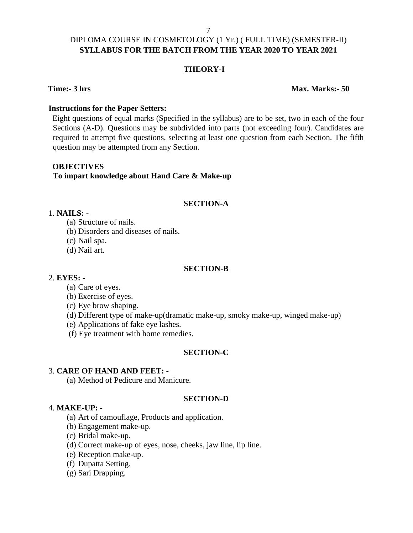# DIPLOMA COURSE IN COSMETOLOGY (1 Yr.) ( FULL TIME) (SEMESTER-II) **SYLLABUS FOR THE BATCH FROM THE YEAR 2020 TO YEAR 2021**

#### **THEORY-I**

#### **Time:- 3 hrs Max. Marks:- 50**

#### **Instructions for the Paper Setters:**

Eight questions of equal marks (Specified in the syllabus) are to be set, two in each of the four Sections (A-D). Questions may be subdivided into parts (not exceeding four). Candidates are required to attempt five questions, selecting at least one question from each Section. The fifth question may be attempted from any Section.

#### **OBJECTIVES**

#### **To impart knowledge about Hand Care & Make-up**

#### **SECTION-A**

#### 1. **NAILS: -**

- (a) Structure of nails.
- (b) Disorders and diseases of nails.
- (c) Nail spa.
- (d) Nail art.

#### **SECTION-B**

#### 2. **EYES: -**

- (a) Care of eyes.
- (b) Exercise of eyes.
- (c) Eye brow shaping.
- (d) Different type of make-up(dramatic make-up, smoky make-up, winged make-up)
- (e) Applications of fake eye lashes.
- (f) Eye treatment with home remedies.

#### **SECTION-C**

#### 3. **CARE OF HAND AND FEET: -**

(a) Method of Pedicure and Manicure.

#### **SECTION-D**

#### 4. **MAKE-UP: -**

- (a) Art of camouflage, Products and application.
- (b) Engagement make-up.
- (c) Bridal make-up.
- (d) Correct make-up of eyes, nose, cheeks, jaw line, lip line.
- (e) Reception make-up.
- (f) Dupatta Setting.
- (g) Sari Drapping.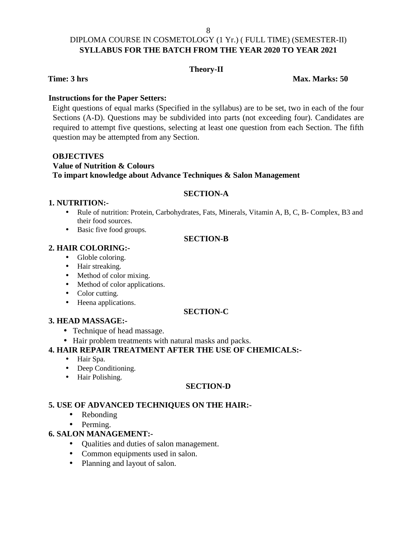# DIPLOMA COURSE IN COSMETOLOGY (1 Yr.) ( FULL TIME) (SEMESTER-II) **SYLLABUS FOR THE BATCH FROM THE YEAR 2020 TO YEAR 2021**

#### **Theory-II**

**Time: 3 hrs Max. Marks: 50**

#### **Instructions for the Paper Setters:**

Eight questions of equal marks (Specified in the syllabus) are to be set, two in each of the four Sections (A-D). Questions may be subdivided into parts (not exceeding four). Candidates are required to attempt five questions, selecting at least one question from each Section. The fifth question may be attempted from any Section.

#### **OBJECTIVES Value of Nutrition & Colours To impart knowledge about Advance Techniques & Salon Management**

## **SECTION-A**

#### **1. NUTRITION:-**

- Rule of nutrition: Protein, Carbohydrates, Fats, Minerals, Vitamin A, B, C, B- Complex, B3 and their food sources.
- Basic five food groups.

#### **SECTION-B**

#### **2. HAIR COLORING:-**

- Globle coloring.
- Hair streaking.
- Method of color mixing.
- Method of color applications.
- Color cutting.
- Heena applications.

#### **SECTION-C**

#### **3. HEAD MASSAGE:-**

- Technique of head massage.
- Hair problem treatments with natural masks and packs.

### **4. HAIR REPAIR TREATMENT AFTER THE USE OF CHEMICALS:-**

- Hair Spa.
- Deep Conditioning.
- Hair Polishing.

#### **SECTION-D**

#### **5. USE OF ADVANCED TECHNIQUES ON THE HAIR:-**

- Rebonding
- Perming.

#### **6. SALON MANAGEMENT:-**

- Qualities and duties of salon management.
- Common equipments used in salon.
- Planning and layout of salon.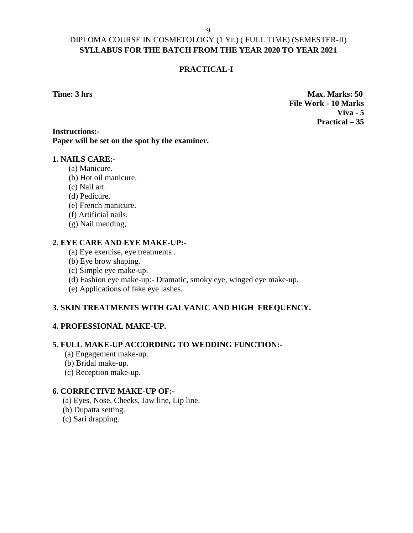### **PRACTICAL-I**

**Time: 3 hrs Max. Marks: 50 File Work - 10 Marks Viva - 5 Practical – 35**

### **Instructions:- Paper will be set on the spot by the examiner.**

#### **1. NAILS CARE:-**

- (a) Manicure.
- (b) Hot oil manicure.
- (c) Nail art.
- (d) Pedicure.
- (e) French manicure.
- (f) Artificial nails.
- (g) Nail mending,

#### **2. EYE CARE AND EYE MAKE-UP:-**

- (a) Eye exercise, eye treatments .
- (b) Eye brow shaping.
- (c) Simple eye make-up.
- (d) Fashion eye make-up:- Dramatic, smoky eye, winged eye make-up.
- (e) Applications of fake eye lashes.

#### **3. SKIN TREATMENTS WITH GALVANIC AND HIGH FREQUENCY.**

#### **4. PROFESSIONAL MAKE-UP.**

#### **5. FULL MAKE-UP ACCORDING TO WEDDING FUNCTION:-**

- (a) Engagement make-up.
- (b) Bridal make-up.
- (c) Reception make-up.

#### **6. CORRECTIVE MAKE-UP OF:-**

- (a) Eyes, Nose, Cheeks, Jaw line, Lip line.
- (b) Dupatta setting.
- (c) Sari drapping.